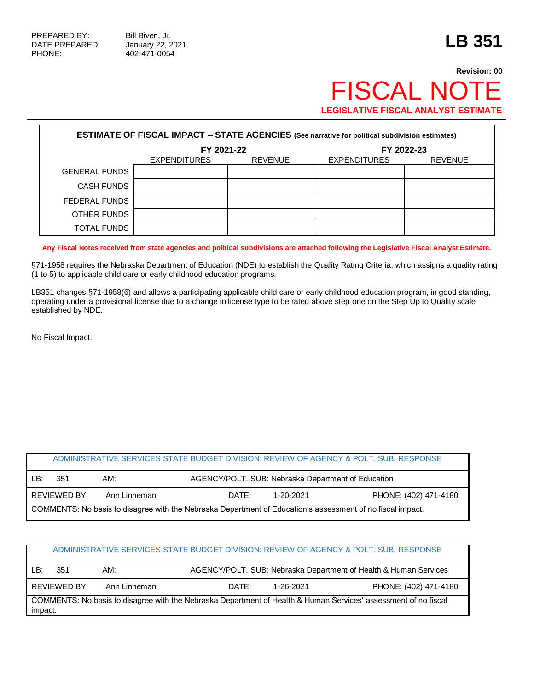## **Revision: 00** FISCAL NOTE **LEGISLATIVE FISCAL ANALYST ESTIMATE**

| <b>ESTIMATE OF FISCAL IMPACT - STATE AGENCIES (See narrative for political subdivision estimates)</b> |                     |                |                     |                |  |  |  |
|-------------------------------------------------------------------------------------------------------|---------------------|----------------|---------------------|----------------|--|--|--|
|                                                                                                       | FY 2021-22          |                | FY 2022-23          |                |  |  |  |
|                                                                                                       | <b>EXPENDITURES</b> | <b>REVENUE</b> | <b>EXPENDITURES</b> | <b>REVENUE</b> |  |  |  |
| <b>GENERAL FUNDS</b>                                                                                  |                     |                |                     |                |  |  |  |
| <b>CASH FUNDS</b>                                                                                     |                     |                |                     |                |  |  |  |
| FEDERAL FUNDS                                                                                         |                     |                |                     |                |  |  |  |
| OTHER FUNDS                                                                                           |                     |                |                     |                |  |  |  |
| <b>TOTAL FUNDS</b>                                                                                    |                     |                |                     |                |  |  |  |

**Any Fiscal Notes received from state agencies and political subdivisions are attached following the Legislative Fiscal Analyst Estimate.**

§71-1958 requires the Nebraska Department of Education (NDE) to establish the Quality Rating Criteria, which assigns a quality rating (1 to 5) to applicable child care or early childhood education programs.

LB351 changes §71-1958(6) and allows a participating applicable child care or early childhood education program, in good standing, operating under a provisional license due to a change in license type to be rated above step one on the Step Up to Quality scale established by NDE.

No Fiscal Impact.

|                                                                                                            |              |              |                                                    | ADMINISTRATIVE SERVICES STATE BUDGET DIVISION: REVIEW OF AGENCY & POLT. SUB. RESPONSE |  |
|------------------------------------------------------------------------------------------------------------|--------------|--------------|----------------------------------------------------|---------------------------------------------------------------------------------------|--|
| LB:                                                                                                        | 351          | AM:          | AGENCY/POLT. SUB: Nebraska Department of Education |                                                                                       |  |
|                                                                                                            | REVIEWED BY: | Ann Linneman | DATE:<br>1-20-2021                                 | PHONE: (402) 471-4180                                                                 |  |
| COMMENTS: No basis to disagree with the Nebraska Department of Education's assessment of no fiscal impact. |              |              |                                                    |                                                                                       |  |

| ADMINISTRATIVE SERVICES STATE BUDGET DIVISION: REVIEW OF AGENCY & POLT. SUB. RESPONSE                                      |              |              |                    |                                                                  |  |
|----------------------------------------------------------------------------------------------------------------------------|--------------|--------------|--------------------|------------------------------------------------------------------|--|
| ∣R∸                                                                                                                        | 351          | AM:          |                    | AGENCY/POLT. SUB: Nebraska Department of Health & Human Services |  |
|                                                                                                                            | REVIEWED BY: | Ann Linneman | DATE:<br>1-26-2021 | PHONE: (402) 471-4180                                            |  |
| COMMENTS: No basis to disagree with the Nebraska Department of Health & Human Services' assessment of no fiscal<br>impact. |              |              |                    |                                                                  |  |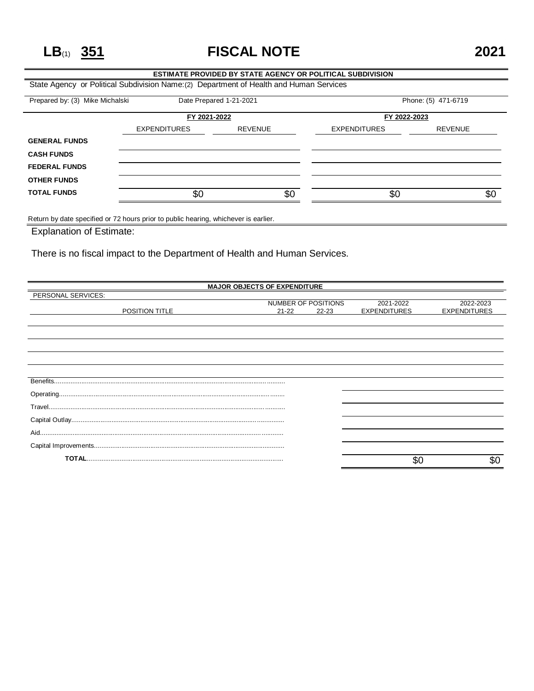**LB**(1) **351 FISCAL NOTE 2021**

## **ESTIMATE PROVIDED BY STATE AGENCY OR POLITICAL SUBDIVISION** State Agency or Political Subdivision Name:(2) Department of Health and Human Services Prepared by: (3) Mike Michalski Date Prepared 1-21-2021 Phone: (5) 471-6719 **FY 2021-2022 FY 2022-2023** EXPENDITURES REVENUE EXPENDITURES REVENUE **GENERAL FUNDS CASH FUNDS FEDERAL FUNDS OTHER FUNDS TOTAL FUNDS** \$0 \$0 \$0 \$0

Return by date specified or 72 hours prior to public hearing, whichever is earlier.

Explanation of Estimate:

There is no fiscal impact to the Department of Health and Human Services.

| <b>MAJOR OBJECTS OF EXPENDITURE</b> |                     |           |                     |                     |  |
|-------------------------------------|---------------------|-----------|---------------------|---------------------|--|
| PERSONAL SERVICES:                  |                     |           |                     |                     |  |
|                                     | NUMBER OF POSITIONS |           | 2021-2022           | 2022-2023           |  |
| POSITION TITLE                      | $21 - 22$           | $22 - 23$ | <b>EXPENDITURES</b> | <b>EXPENDITURES</b> |  |
|                                     |                     |           |                     |                     |  |
|                                     |                     |           |                     |                     |  |
|                                     |                     |           |                     |                     |  |
|                                     |                     |           |                     |                     |  |
|                                     |                     |           |                     |                     |  |
|                                     |                     |           |                     |                     |  |
|                                     |                     |           |                     |                     |  |
|                                     |                     |           |                     |                     |  |
|                                     |                     |           |                     |                     |  |
|                                     |                     |           |                     |                     |  |
|                                     |                     |           |                     |                     |  |
|                                     |                     |           |                     |                     |  |
|                                     |                     |           |                     |                     |  |
|                                     |                     |           |                     |                     |  |
|                                     |                     |           |                     |                     |  |
|                                     |                     |           | \$C                 | \$0                 |  |